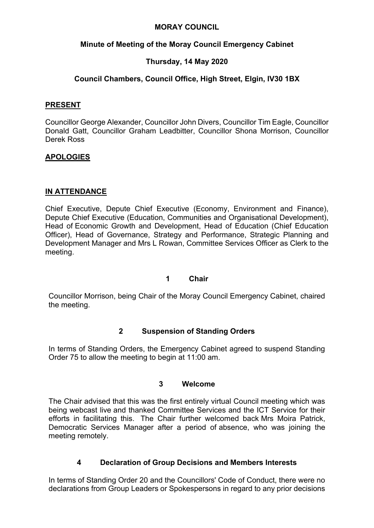#### **MORAY COUNCIL**

### **Minute of Meeting of the Moray Council Emergency Cabinet**

## **Thursday, 14 May 2020**

### **Council Chambers, Council Office, High Street, Elgin, IV30 1BX**

#### **PRESENT**

Councillor George Alexander, Councillor John Divers, Councillor Tim Eagle, Councillor Donald Gatt, Councillor Graham Leadbitter, Councillor Shona Morrison, Councillor Derek Ross

### **APOLOGIES**

### **IN ATTENDANCE**

Chief Executive, Depute Chief Executive (Economy, Environment and Finance), Depute Chief Executive (Education, Communities and Organisational Development), Head of Economic Growth and Development, Head of Education (Chief Education Officer), Head of Governance, Strategy and Performance, Strategic Planning and Development Manager and Mrs L Rowan, Committee Services Officer as Clerk to the meeting.

#### **1 Chair**

Councillor Morrison, being Chair of the Moray Council Emergency Cabinet, chaired the meeting.

### **2 Suspension of Standing Orders**

In terms of Standing Orders, the Emergency Cabinet agreed to suspend Standing Order 75 to allow the meeting to begin at 11:00 am.

#### **3 Welcome**

The Chair advised that this was the first entirely virtual Council meeting which was being webcast live and thanked Committee Services and the ICT Service for their efforts in facilitating this. The Chair further welcomed back Mrs Moira Patrick, Democratic Services Manager after a period of absence, who was joining the meeting remotely.

### **4 Declaration of Group Decisions and Members Interests**

In terms of Standing Order 20 and the Councillors' Code of Conduct, there were no declarations from Group Leaders or Spokespersons in regard to any prior decisions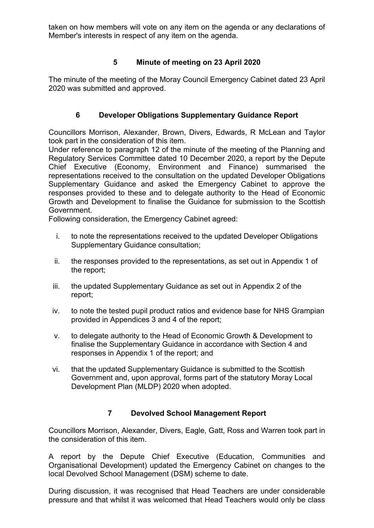taken on how members will vote on any item on the agenda or any declarations of Member's interests in respect of any item on the agenda.

## **5 Minute of meeting on 23 April 2020**

The minute of the meeting of the Moray Council Emergency Cabinet dated 23 April 2020 was submitted and approved.

# **6 Developer Obligations Supplementary Guidance Report**

Councillors Morrison, Alexander, Brown, Divers, Edwards, R McLean and Taylor took part in the consideration of this item.

Under reference to paragraph 12 of the minute of the meeting of the Planning and Regulatory Services Committee dated 10 December 2020, a report by the Depute Chief Executive (Economy, Environment and Finance) summarised the representations received to the consultation on the updated Developer Obligations Supplementary Guidance and asked the Emergency Cabinet to approve the responses provided to these and to delegate authority to the Head of Economic Growth and Development to finalise the Guidance for submission to the Scottish Government.

Following consideration, the Emergency Cabinet agreed:

- i. to note the representations received to the updated Developer Obligations Supplementary Guidance consultation;
- ii. the responses provided to the representations, as set out in Appendix 1 of the report;
- iii. the updated Supplementary Guidance as set out in Appendix 2 of the report;
- iv. to note the tested pupil product ratios and evidence base for NHS Grampian provided in Appendices 3 and 4 of the report;
- v. to delegate authority to the Head of Economic Growth & Development to finalise the Supplementary Guidance in accordance with Section 4 and responses in Appendix 1 of the report; and
- vi. that the updated Supplementary Guidance is submitted to the Scottish Government and, upon approval, forms part of the statutory Moray Local Development Plan (MLDP) 2020 when adopted.

### **7 Devolved School Management Report**

Councillors Morrison, Alexander, Divers, Eagle, Gatt, Ross and Warren took part in the consideration of this item.

A report by the Depute Chief Executive (Education, Communities and Organisational Development) updated the Emergency Cabinet on changes to the local Devolved School Management (DSM) scheme to date.

During discussion, it was recognised that Head Teachers are under considerable pressure and that whilst it was welcomed that Head Teachers would only be class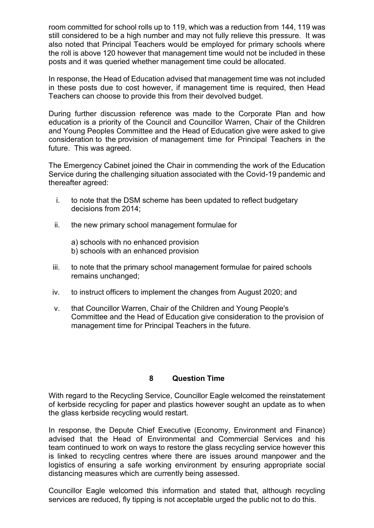room committed for school rolls up to 119, which was a reduction from 144, 119 was still considered to be a high number and may not fully relieve this pressure. It was also noted that Principal Teachers would be employed for primary schools where the roll is above 120 however that management time would not be included in these posts and it was queried whether management time could be allocated.

In response, the Head of Education advised that management time was not included in these posts due to cost however, if management time is required, then Head Teachers can choose to provide this from their devolved budget.

During further discussion reference was made to the Corporate Plan and how education is a priority of the Council and Councillor Warren, Chair of the Children and Young Peoples Committee and the Head of Education give were asked to give consideration to the provision of management time for Principal Teachers in the future. This was agreed.

The Emergency Cabinet joined the Chair in commending the work of the Education Service during the challenging situation associated with the Covid-19 pandemic and thereafter agreed:

- i. to note that the DSM scheme has been updated to reflect budgetary decisions from 2014;
- ii. the new primary school management formulae for
	- a) schools with no enhanced provision b) schools with an enhanced provision
- iii. to note that the primary school management formulae for paired schools remains unchanged;
- iv. to instruct officers to implement the changes from August 2020; and
- v. that Councillor Warren, Chair of the Children and Young People's Committee and the Head of Education give consideration to the provision of management time for Principal Teachers in the future.

#### **8 Question Time**

With regard to the Recycling Service, Councillor Eagle welcomed the reinstatement of kerbside recycling for paper and plastics however sought an update as to when the glass kerbside recycling would restart.

In response, the Depute Chief Executive (Economy, Environment and Finance) advised that the Head of Environmental and Commercial Services and his team continued to work on ways to restore the glass recycling service however this is linked to recycling centres where there are issues around manpower and the logistics of ensuring a safe working environment by ensuring appropriate social distancing measures which are currently being assessed.

Councillor Eagle welcomed this information and stated that, although recycling services are reduced, fly tipping is not acceptable urged the public not to do this.